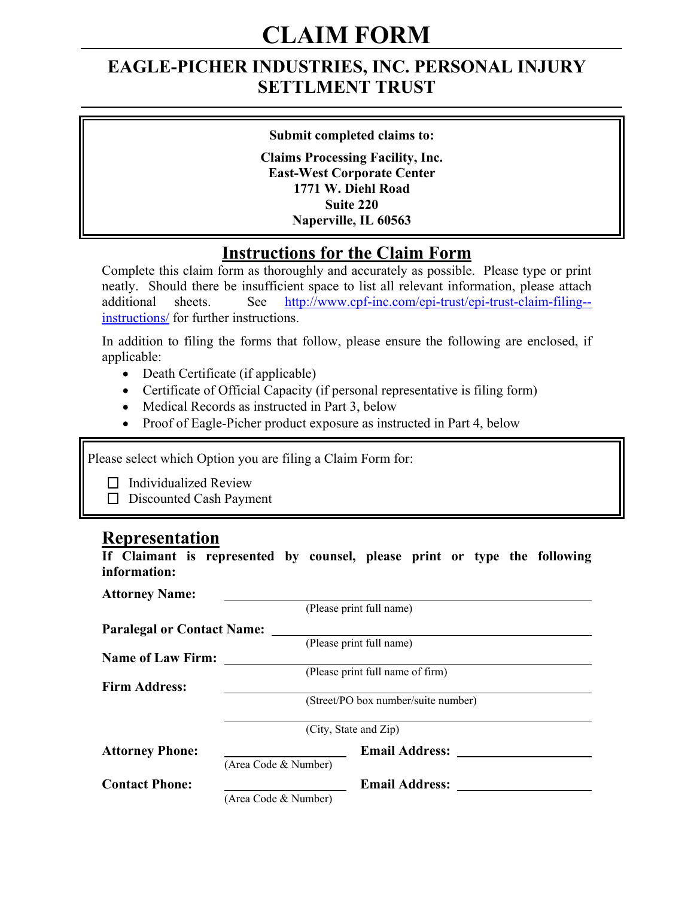# **CLAIM FORM**

# **EAGLE-PICHER INDUSTRIES, INC. PERSONAL INJURY SETTLMENT TRUST**

#### **Submit completed claims to:**

**Claims Processing Facility, Inc. East-West Corporate Center 1771 W. Diehl Road Suite 220 Naperville, IL 60563**

### **Instructions for the Claim Form**

Complete this claim form as thoroughly and accurately as possible. Please type or print neatly. Should there be insufficient space to list all relevant information, please attach additional sheets. See http://www.cpf-inc.com/epi-trust/epi-trust-claim-filing-instructions/ for further instructions.

In addition to filing the forms that follow, please ensure the following are enclosed, if applicable:

- Death Certificate (if applicable)
- Certificate of Official Capacity (if personal representative is filing form)
- Medical Records as instructed in Part 3, below
- Proof of Eagle-Picher product exposure as instructed in Part 4, below

Please select which Option you are filing a Claim Form for:

 $\Box$  Individualized Review

Discounted Cash Payment

#### **Representation**

**If Claimant is represented by counsel, please print or type the following information:**

| <b>Attorney Name:</b>             |                       |                                     |  |
|-----------------------------------|-----------------------|-------------------------------------|--|
|                                   |                       | (Please print full name)            |  |
| <b>Paralegal or Contact Name:</b> |                       |                                     |  |
|                                   |                       | (Please print full name)            |  |
| <b>Name of Law Firm:</b>          |                       |                                     |  |
|                                   |                       | (Please print full name of firm)    |  |
| <b>Firm Address:</b>              |                       |                                     |  |
|                                   |                       | (Street/PO box number/suite number) |  |
|                                   |                       | (City, State and Zip)               |  |
| <b>Attorney Phone:</b>            |                       | <b>Email Address:</b>               |  |
|                                   | (Area Code & Number)  |                                     |  |
| <b>Contact Phone:</b>             | <b>Email Address:</b> |                                     |  |
|                                   | (Area Code & Number)  |                                     |  |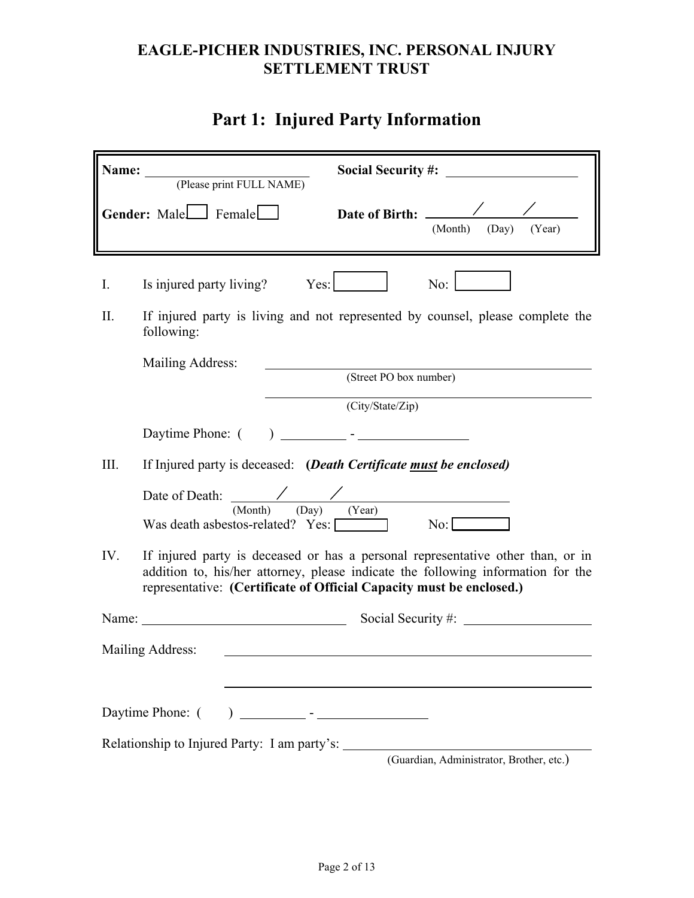# **Part 1: Injured Party Information**

| Name: | <b>Social Security #:</b><br>(Please print FULL NAME)                                                                                                                                                                                       |
|-------|---------------------------------------------------------------------------------------------------------------------------------------------------------------------------------------------------------------------------------------------|
|       | Gender: Male<br>Female<br>(Year)<br>(Month) (Day)                                                                                                                                                                                           |
| Ι.    | No:<br>Is injured party living? Yes:                                                                                                                                                                                                        |
| П.    | If injured party is living and not represented by counsel, please complete the<br>following:                                                                                                                                                |
|       | Mailing Address:<br>(Street PO box number)                                                                                                                                                                                                  |
|       | (City/State/Zip)                                                                                                                                                                                                                            |
|       |                                                                                                                                                                                                                                             |
| III.  | If Injured party is deceased: (Death Certificate must be enclosed)                                                                                                                                                                          |
|       | Date of Death: $\frac{\sqrt{2}}{\text{(Month)}}$ (Day) (Year)<br>$\overline{\text{No:}}$<br>Was death asbestos-related? Yes:                                                                                                                |
| IV.   | If injured party is deceased or has a personal representative other than, or in<br>addition to, his/her attorney, please indicate the following information for the<br>representative: (Certificate of Official Capacity must be enclosed.) |
| Name: |                                                                                                                                                                                                                                             |
|       | Mailing Address:                                                                                                                                                                                                                            |
|       | Daytime Phone: (                                                                                                                                                                                                                            |
|       | Relationship to Injured Party: I am party's:<br>(Guardian, Administrator, Brother, etc.)                                                                                                                                                    |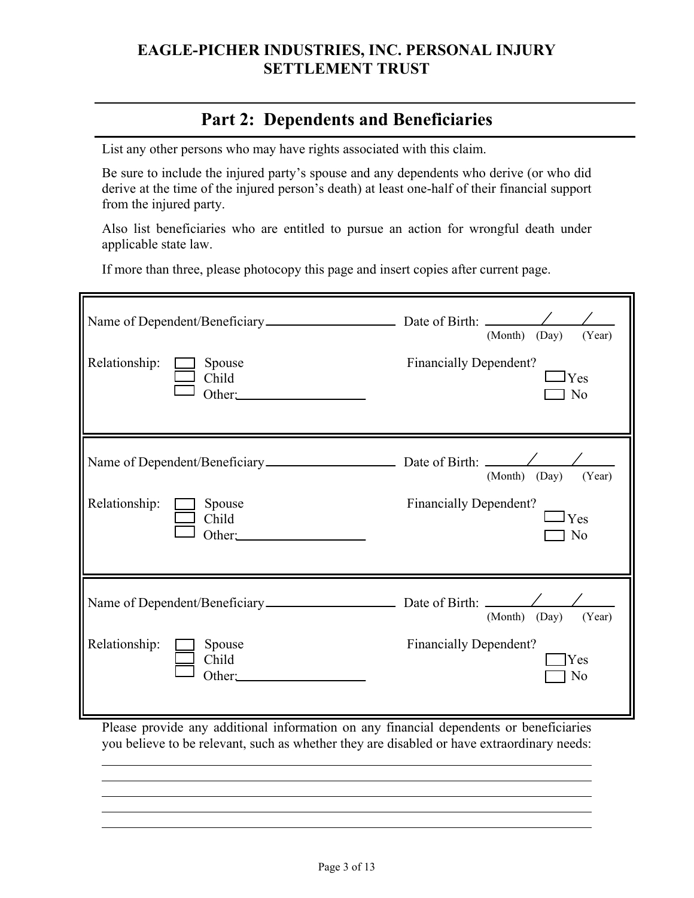### **Part 2: Dependents and Beneficiaries**

List any other persons who may have rights associated with this claim.

Be sure to include the injured party's spouse and any dependents who derive (or who did derive at the time of the injured person's death) at least one-half of their financial support from the injured party.

Also list beneficiaries who are entitled to pursue an action for wrongful death under applicable state law.

If more than three, please photocopy this page and insert copies after current page.

|               |                           | (Month)<br>(Day)<br>(Year)                             |
|---------------|---------------------------|--------------------------------------------------------|
| Relationship: | Spouse<br>Child<br>Other: | <b>Financially Dependent?</b><br>$_{\rm IYes}$<br>l No |
|               |                           | (Month) (Day)<br>(Year)                                |
| Relationship: | Spouse<br>Child<br>Other: | <b>Financially Dependent?</b><br>$_{\rm IYes}$<br>No   |
|               |                           | (Month) (Day)<br>(Year)                                |
| Relationship: | Spouse<br>Child<br>Other: | <b>Financially Dependent?</b><br>Yes<br>No             |

Please provide any additional information on any financial dependents or beneficiaries you believe to be relevant, such as whether they are disabled or have extraordinary needs: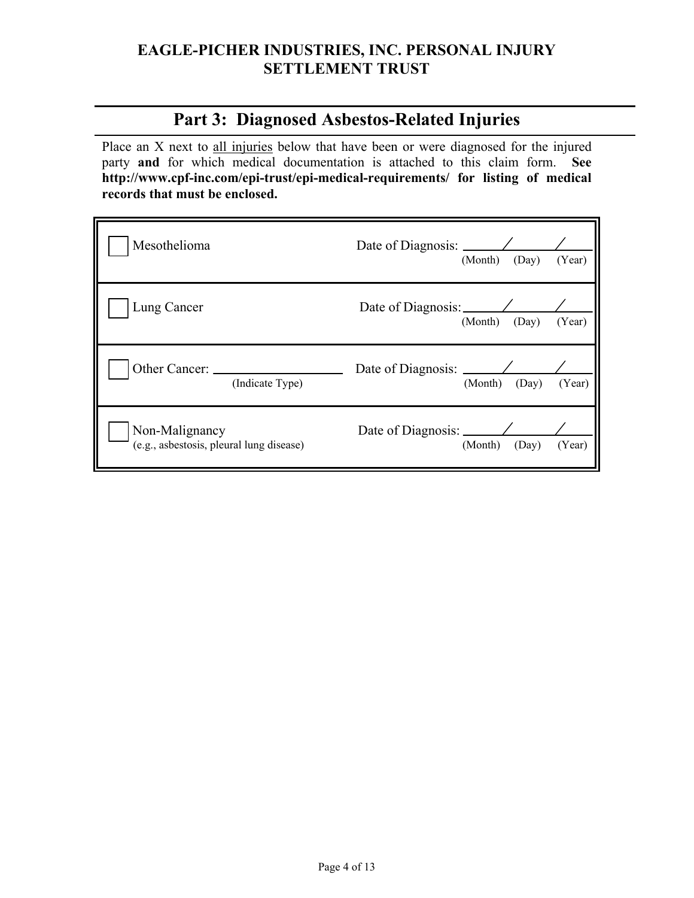### **Part 3: Diagnosed Asbestos-Related Injuries**

Place an X next to all injuries below that have been or were diagnosed for the injured party **and** for which medical documentation is attached to this claim form. **See http://www.cpf-inc.com/epi-trust/epi-medical-requirements/ for listing of medical records that must be enclosed.**

| Mesothelioma    | Date of Diagnosis: $\angle$<br>(Month) (Day)<br>(Year)    |
|-----------------|-----------------------------------------------------------|
| Lung Cancer     | (Month) (Day)<br>(Year)                                   |
|                 |                                                           |
| (Indicate Type) | Date of Diagnosis: $\angle$<br>(Year)<br>(Month)<br>(Day) |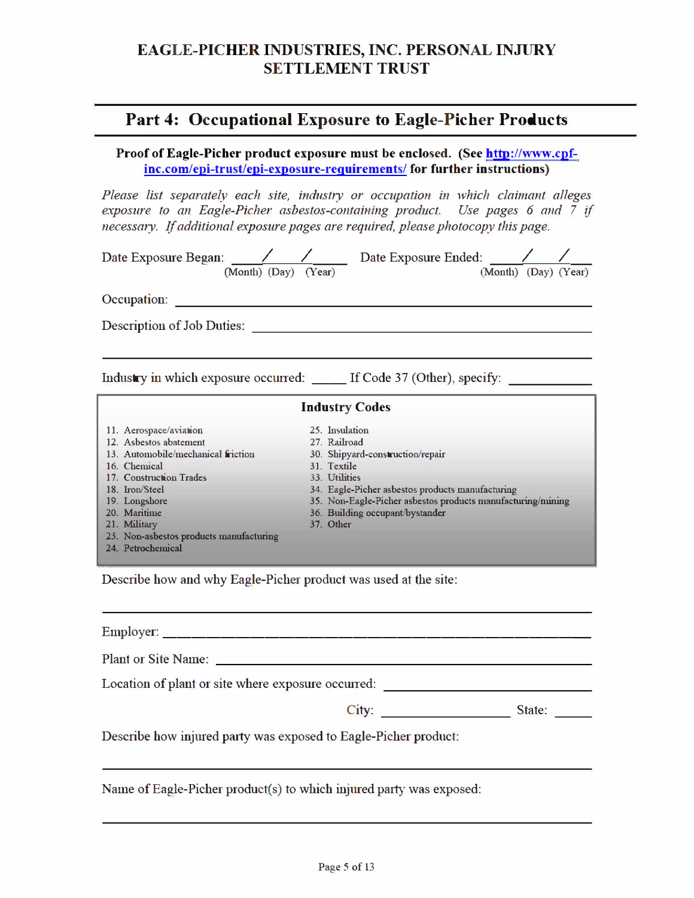#### **Part 4: Occupational Exposure to Eagle-Picher Products**

**Proof of Eagle-Picher product exposure must be enclosed. (See http://www.cpfinc.com/epi-trust/epi-exposure-reguirements/ for further instructions)** 

*Please list separately each site, indushy or occupation in which claimant alleges exposure to an Eagle-Picher asbestos-containing product. Use pages 6 and 7 if necessary. If additional exposure pages are required, please photocopy this page.* 

| (Month) (Day) (Year)                    |  | Date Exposure Began: / / / Date Exposure Ended: /<br>(Month) (Day) (Year)     |  |
|-----------------------------------------|--|-------------------------------------------------------------------------------|--|
| Occupation:                             |  |                                                                               |  |
| Description of Job Duties:              |  |                                                                               |  |
|                                         |  |                                                                               |  |
|                                         |  | Industry in which exposure occurred: _____ If Code 37 (Other), specify: _____ |  |
|                                         |  | <b>Industry Codes</b>                                                         |  |
| 11. Aerospace/aviation                  |  | 25. Insulation                                                                |  |
| 12. Asbestos abatement                  |  | 27. Railroad                                                                  |  |
| 13. Automobile/mechanical friction      |  | 30. Shipyard-construction/repair                                              |  |
| 16. Chemical                            |  | 31. Textile                                                                   |  |
| 17. Construction Trades                 |  | 33. Utilities                                                                 |  |
| 18. Iron/Steel                          |  | 34. Eagle-Picher asbestos products manufacturing                              |  |
| 19. Longshore                           |  | 35. Non-Eagle-Picher asbestos products manufacturing/mining                   |  |
| 20. Maritime                            |  | 36. Building occupant/bystander                                               |  |
| 21. Military                            |  | 37. Other                                                                     |  |
| 23. Non-asbestos products manufacturing |  |                                                                               |  |
| 24. Petrochemical                       |  |                                                                               |  |

Describe how and why Eagle-Picher product was used at the site:

| Location of plant or site where exposure occurred:              |                 |
|-----------------------------------------------------------------|-----------------|
|                                                                 | City:<br>State: |
| Describe how injured party was exposed to Eagle-Picher product: |                 |

Name of Eagle-Picher product(s) to which injured party was exposed: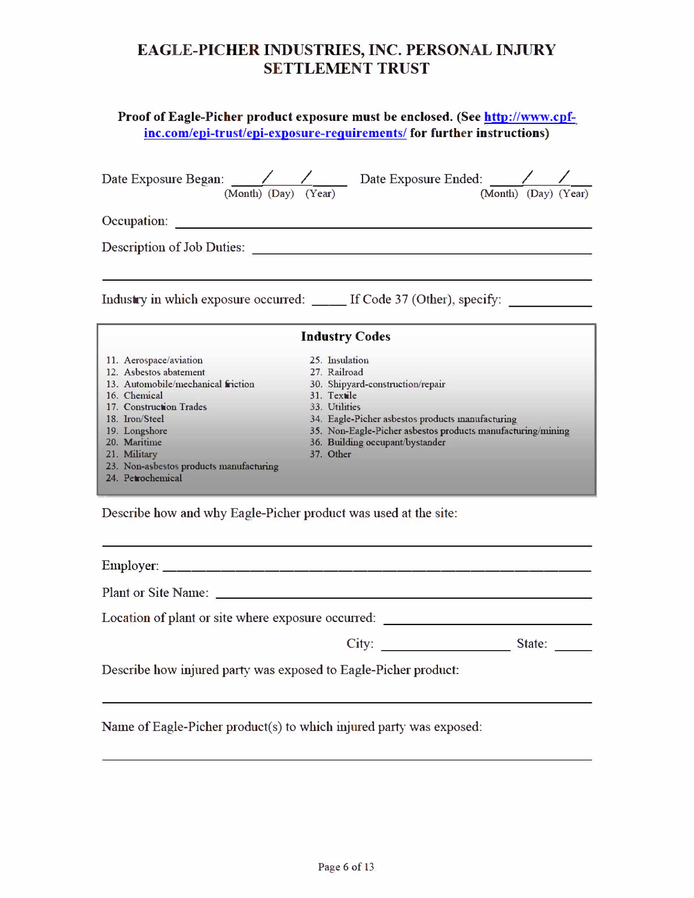#### **Proof of Eagle-Picher product exposure must be enclosed. (See http://www.cpfinc.com/epi-trust/epi-exposure-reguirements/ for further instructions)**

|                                                    | Date Exposure Began: / / Date Exposure Ended: /<br>(Month) (Day) (Year)<br>(Month) (Day) (Year) |  |  |  |
|----------------------------------------------------|-------------------------------------------------------------------------------------------------|--|--|--|
| Occupation:                                        |                                                                                                 |  |  |  |
| Description of Job Duties:                         |                                                                                                 |  |  |  |
|                                                    | Industry in which exposure occurred: _____ If Code 37 (Other), specify: ___                     |  |  |  |
|                                                    | <b>Industry Codes</b>                                                                           |  |  |  |
| 11. Aerospace/aviation                             | 25. Insulation                                                                                  |  |  |  |
| 12. Ashestos abatement                             | 27. Railroad                                                                                    |  |  |  |
| 13. Automobile/mechanical friction<br>16. Chemical | 30. Shipyard-construction/repair<br>31. Textile                                                 |  |  |  |
| 17. Construction Trades                            | 33. Utilities                                                                                   |  |  |  |
| 18. Iron/Steel                                     | 34. Eagle-Picher asbestos products manufacturing                                                |  |  |  |
| 19. Longshore                                      | 35. Non-Eagle-Picher asbestos products manufacturing/mining                                     |  |  |  |
| 20. Maritime                                       | 36. Building occupant/bystander                                                                 |  |  |  |
| 21. Military                                       | 37. Other                                                                                       |  |  |  |
| 23. Non-asbestos products manufacturing            |                                                                                                 |  |  |  |
| 24. Petrochemical                                  |                                                                                                 |  |  |  |
|                                                    |                                                                                                 |  |  |  |

Describe how and why Eagle-Picher product was used at the site:

Employer: \_\_\_\_\_\_\_\_\_\_\_\_\_\_\_\_\_\_\_\_\_\_\_\_\_\_\_\_ \_

Plant or Site Name:

Location of plant or site where exposure occurred:

| City      | State: |
|-----------|--------|
| $\sim$ 11 |        |
|           |        |

Describe how injured party was exposed to Eagle-Picher product:

Name of Eagle-Picher product(s) to which injured party was exposed: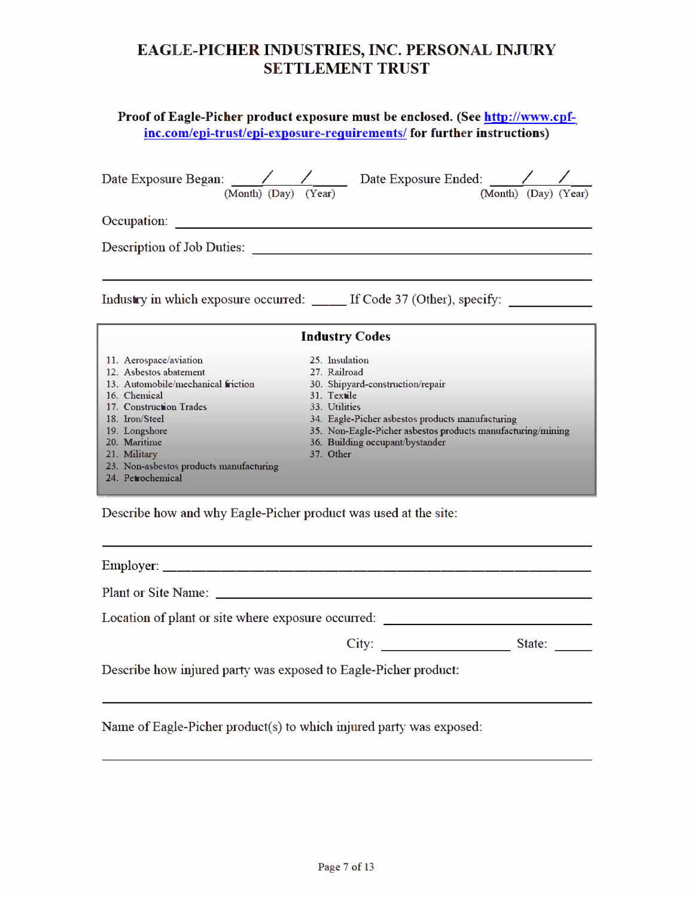#### **Proof of Eagle-Picher product exposure must be enclosed. (See http://www.cpfinc.com/epi-trust/epi-exposure-reguirements/ for further instructions)**

| (Month) (Day) (Year)                                    | Date Exposure Began: / / Date Exposure Ended: /<br>(Month) (Day) (Year)        |
|---------------------------------------------------------|--------------------------------------------------------------------------------|
| Occupation:                                             |                                                                                |
| Description of Job Duties:                              |                                                                                |
|                                                         | Industry in which exposure occurred: ______ If Code 37 (Other), specify: _____ |
|                                                         | <b>Industry Codes</b>                                                          |
| 11. Aerospace/aviation                                  | 25. Insulation                                                                 |
| 12. Asbestos abatement                                  | 27. Railroad                                                                   |
| 13. Automobile/mechanical friction                      | 30. Shipyard-construction/repair                                               |
| 16. Chemical                                            | 31. Textile                                                                    |
| 17. Construction Trades                                 | 33. Utilities                                                                  |
| 18. Iron/Steel                                          | 34. Eagle-Picher asbestos products manufacturing                               |
| 19. Longshore<br>20. Maritime                           | 35. Non-Eagle-Picher asbestos products manufacturing/mining                    |
|                                                         | 36. Building occupant/bystander<br>37. Other                                   |
| 21. Military<br>23. Non-asbestos products manufacturing |                                                                                |
| 24. Petrochemical                                       |                                                                                |
|                                                         |                                                                                |

Describe how and why Eagle-Picher product was used at the site:

Employer: \_\_\_\_\_\_\_\_\_\_\_\_\_\_\_\_\_\_\_\_\_\_\_\_\_\_\_\_ \_

Plant or Site Name:

Location of plant or site where exposure occurred:

| City      | State: |
|-----------|--------|
| $\sim$ 11 |        |
|           |        |

Describe how injured party was exposed to Eagle-Picher product:

Name of Eagle-Picher product(s) to which injured party was exposed: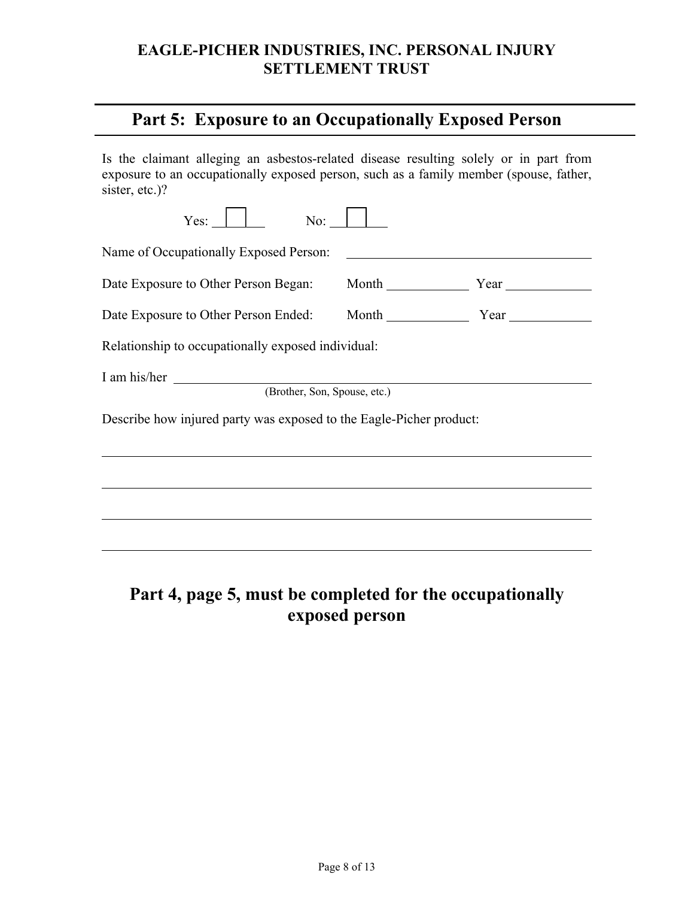### **Part 5: Exposure to an Occupationally Exposed Person**

Is the claimant alleging an asbestos-related disease resulting solely or in part from exposure to an occupationally exposed person, such as a family member (spouse, father, sister, etc.)?

| No:<br>Yes:                                                         |                                               |  |  |  |
|---------------------------------------------------------------------|-----------------------------------------------|--|--|--|
| Name of Occupationally Exposed Person:                              | <u> 1980 - Johann Stein, fransk politik (</u> |  |  |  |
| Date Exposure to Other Person Began: Month                          |                                               |  |  |  |
|                                                                     |                                               |  |  |  |
| Relationship to occupationally exposed individual:                  |                                               |  |  |  |
| I am his/her $\frac{1}{1}$<br>(Brother, Son, Spouse, etc.)          |                                               |  |  |  |
| Describe how injured party was exposed to the Eagle-Picher product: |                                               |  |  |  |
|                                                                     |                                               |  |  |  |
|                                                                     |                                               |  |  |  |
|                                                                     |                                               |  |  |  |
|                                                                     |                                               |  |  |  |
|                                                                     |                                               |  |  |  |

# **Part 4, page 5, must be completed for the occupationally exposed person**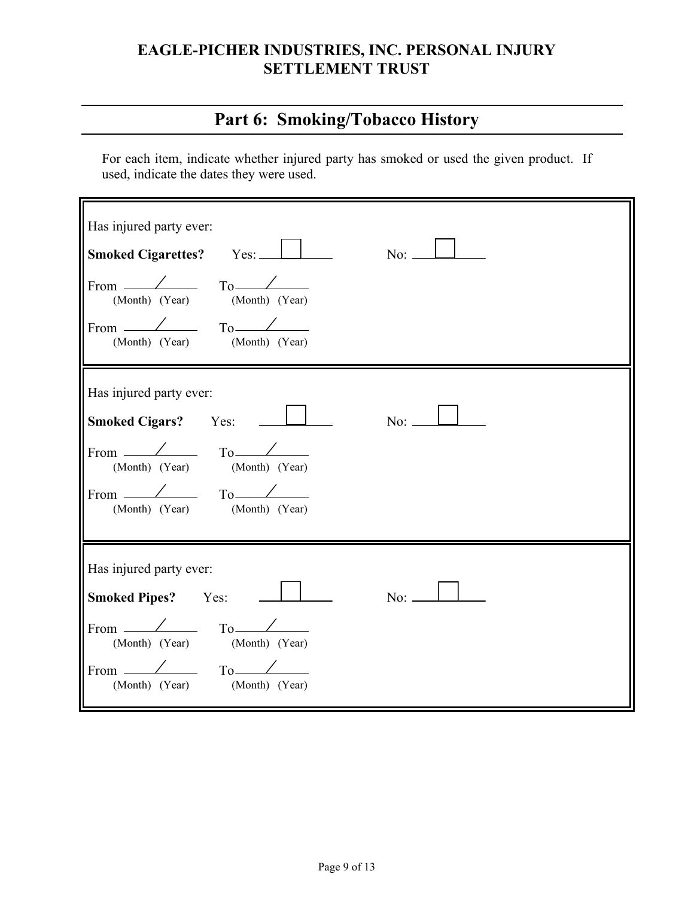# **Part 6: Smoking/Tobacco History**

For each item, indicate whether injured party has smoked or used the given product. If used, indicate the dates they were used.

| Has injured party ever:<br>Smoked Cigarettes? Yes:<br>$No:$ $\qquad$<br>From $\angle$ To $\angle$<br>(Month) (Year) (Month) (Year)<br>From $\angle$ To $\angle$<br>(Month) (Year) (Month) (Year)               |
|----------------------------------------------------------------------------------------------------------------------------------------------------------------------------------------------------------------|
| Has injured party ever:<br><b>Smoked Cigars?</b> Yes:<br>From $\angle$ To $\angle$<br>(Month) (Year) (Month) (Year)<br>From $\angle$ To $\angle$<br>(Month) (Year) (Month) (Year)                              |
| Has injured party ever:<br>$\overline{N_0}$ : $\perp$<br><b>Smoked Pipes?</b> Yes:<br>From $\angle$ To $\angle$<br>(Month) (Year) (Month) (Year)<br>From $\angle$ To $\angle$<br>(Month) (Year) (Month) (Year) |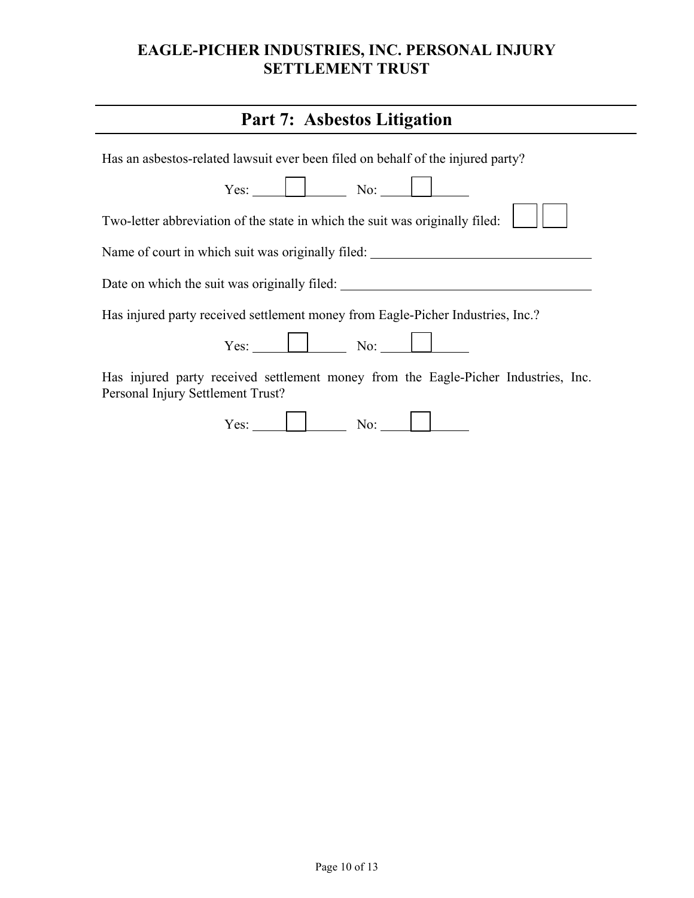| <b>Part 7: Asbestos Litigation</b>                                                                                      |
|-------------------------------------------------------------------------------------------------------------------------|
| Has an asbestos-related lawsuit ever been filed on behalf of the injured party?                                         |
| $Yes:$ No: No:                                                                                                          |
| Two-letter abbreviation of the state in which the suit was originally filed:                                            |
| Name of court in which suit was originally filed: ______________________________                                        |
| Date on which the suit was originally filed:                                                                            |
| Has injured party received settlement money from Eagle-Picher Industries, Inc.?                                         |
| $Yes:$ No: No:                                                                                                          |
| Has injured party received settlement money from the Eagle-Picher Industries, Inc.<br>Personal Injury Settlement Trust? |
| $Y$ es: $\parallel$ No: $\parallel$                                                                                     |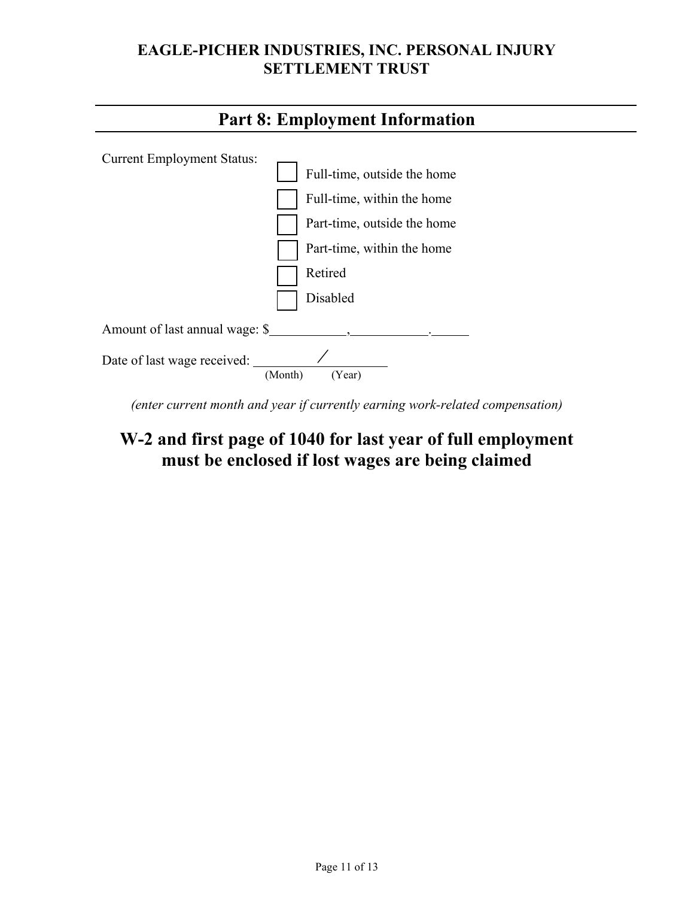

*(enter current month and year if currently earning work-related compensation)*

# **W-2 and first page of 1040 for last year of full employment must be enclosed if lost wages are being claimed**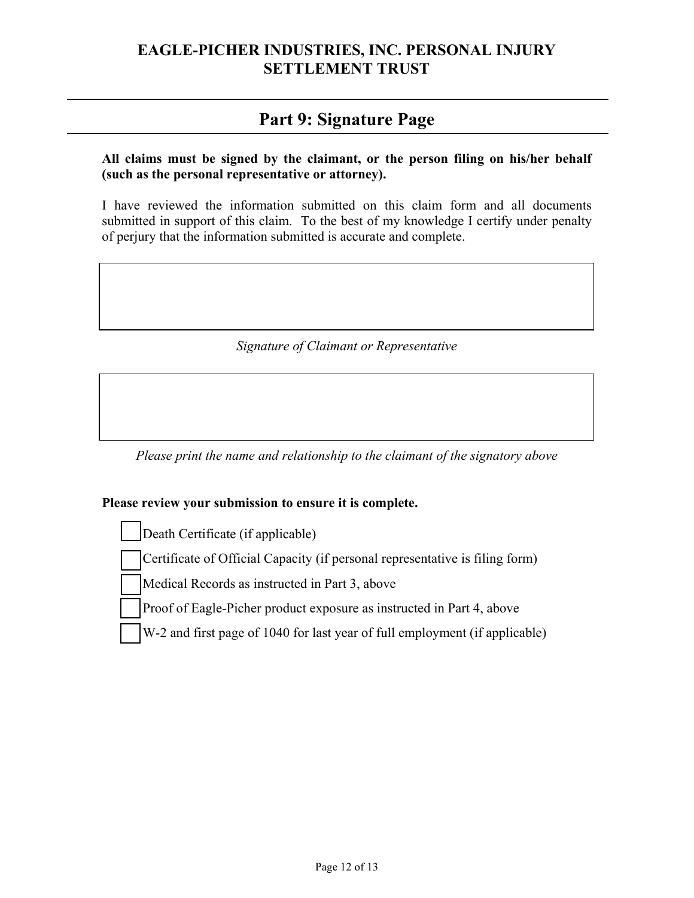## **Part 9: Signature Page**

#### **All claims must be signed by the claimant, or the person filing on his/her behalf (such as the personal representative or attorney).**

I have reviewed the information submitted on this claim form and all documents submitted in support of this claim. To the best of my knowledge I certify under penalty of perjury that the information submitted is accurate and complete.

#### *Signature of Claimant or Representative*

*Please print the name and relationship to the claimant of the signatory above*

#### **Please review your submission to ensure it is complete.**

Death Certificate (if applicable)

Certificate of Official Capacity (if personal representative is filing form)

Medical Records as instructed in Part 3, above

Proof of Eagle-Picher product exposure as instructed in Part 4, above

W-2 and first page of 1040 for last year of full employment (if applicable)